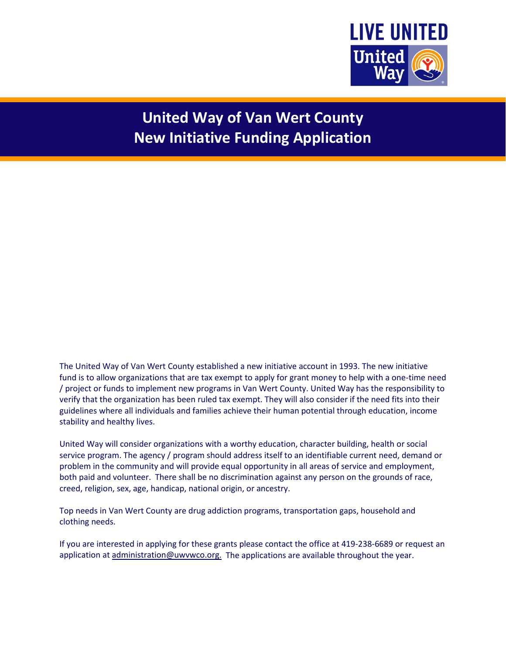

# **United Way of Van Wert County New Initiative Funding Application**

The United Way of Van Wert County established a new initiative account in 1993. The new initiative fund is to allow organizations that are tax exempt to apply for grant money to help with a one-time need / project or funds to implement new programs in Van Wert County. United Way has the responsibility to verify that the organization has been ruled tax exempt. They will also consider if the need fits into their guidelines where all individuals and families achieve their human potential through education, income stability and healthy lives.

United Way will consider organizations with a worthy education, character building, health or social service program. The agency / program should address itself to an identifiable current need, demand or problem in the community and will provide equal opportunity in all areas of service and employment, both paid and volunteer. There shall be no discrimination against any person on the grounds of race, creed, religion, sex, age, handicap, national origin, or ancestry.

Top needs in Van Wert County are drug addiction programs, transportation gaps, household and clothing needs.

If you are interested in applying for these grants please contact the office at 419-238-6689 or request an application a[t administration@uwvwco.org.](mailto:administration@uwvwco.org.) The applications are available throughout the year.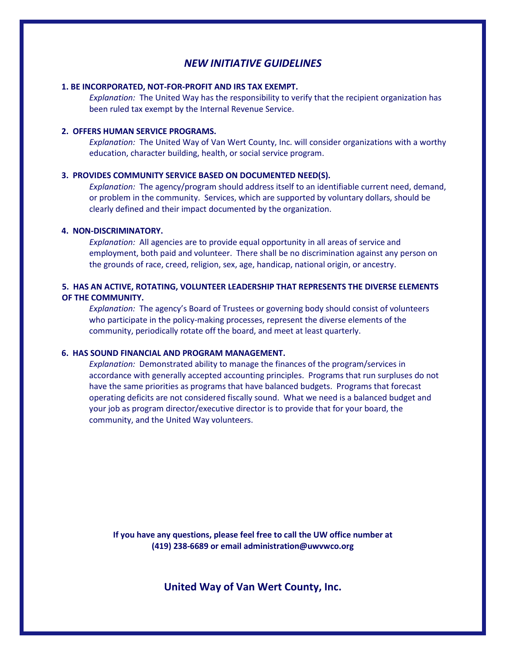## *NEW INITIATIVE GUIDELINES*

#### **1. BE INCORPORATED, NOT-FOR-PROFIT AND IRS TAX EXEMPT.**

*Explanation:* The United Way has the responsibility to verify that the recipient organization has been ruled tax exempt by the Internal Revenue Service.

#### **2. OFFERS HUMAN SERVICE PROGRAMS.**

*Explanation:* The United Way of Van Wert County, Inc. will consider organizations with a worthy education, character building, health, or social service program.

#### **3. PROVIDES COMMUNITY SERVICE BASED ON DOCUMENTED NEED(S).**

*Explanation:* The agency/program should address itself to an identifiable current need, demand, or problem in the community. Services, which are supported by voluntary dollars, should be clearly defined and their impact documented by the organization.

#### **4. NON-DISCRIMINATORY.**

*Explanation:* All agencies are to provide equal opportunity in all areas of service and employment, both paid and volunteer. There shall be no discrimination against any person on the grounds of race, creed, religion, sex, age, handicap, national origin, or ancestry.

### **5. HAS AN ACTIVE, ROTATING, VOLUNTEER LEADERSHIP THAT REPRESENTS THE DIVERSE ELEMENTS OF THE COMMUNITY.**

*Explanation:* The agency's Board of Trustees or governing body should consist of volunteers who participate in the policy-making processes, represent the diverse elements of the community, periodically rotate off the board, and meet at least quarterly.

#### **6. HAS SOUND FINANCIAL AND PROGRAM MANAGEMENT.**

*Explanation:* Demonstrated ability to manage the finances of the program/services in accordance with generally accepted accounting principles. Programs that run surpluses do not have the same priorities as programs that have balanced budgets. Programs that forecast operating deficits are not considered fiscally sound. What we need is a balanced budget and your job as program director/executive director is to provide that for your board, the community, and the United Way volunteers.

**If you have any questions, please feel free to call the UW office number at (419) 238-6689 or email administration@uwvwco.org**

**United Way of Van Wert County, Inc.**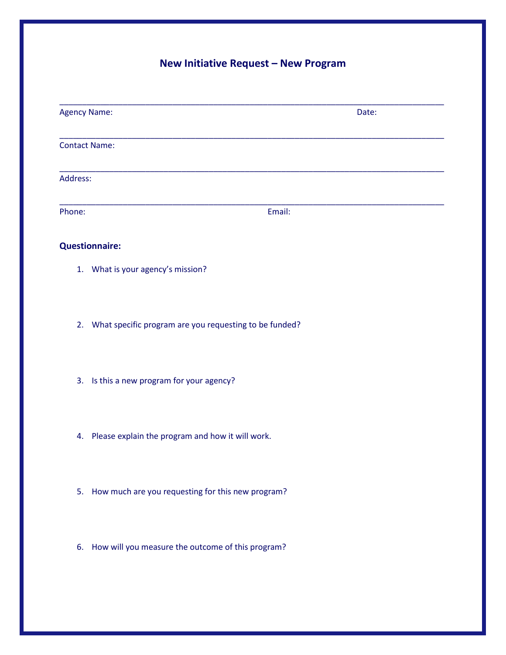# **New Initiative Request – New Program**

| <b>Agency Name:</b> |                                                           | Date: |
|---------------------|-----------------------------------------------------------|-------|
|                     | <b>Contact Name:</b>                                      |       |
| Address:            |                                                           |       |
| Phone:              | Email:                                                    |       |
|                     | <b>Questionnaire:</b>                                     |       |
|                     | 1. What is your agency's mission?                         |       |
|                     | 2. What specific program are you requesting to be funded? |       |
|                     | 3. Is this a new program for your agency?                 |       |
| 4.                  | Please explain the program and how it will work.          |       |
|                     | 5. How much are you requesting for this new program?      |       |
|                     | 6. How will you measure the outcome of this program?      |       |
|                     |                                                           |       |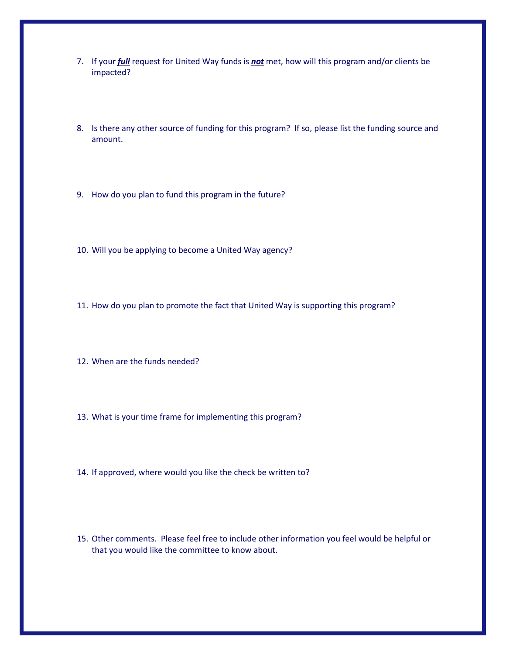- 7. If your *full* request for United Way funds is *not* met, how will this program and/or clients be impacted?
- 8. Is there any other source of funding for this program? If so, please list the funding source and amount.
- 9. How do you plan to fund this program in the future?
- 10. Will you be applying to become a United Way agency?
- 11. How do you plan to promote the fact that United Way is supporting this program?
- 12. When are the funds needed?
- 13. What is your time frame for implementing this program?
- 14. If approved, where would you like the check be written to?
- 15. Other comments. Please feel free to include other information you feel would be helpful or that you would like the committee to know about.